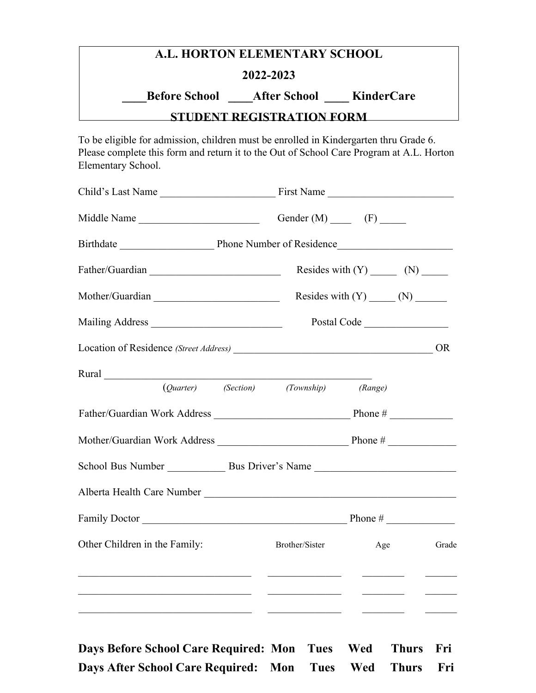## **A.L. HORTON ELEMENTARY SCHOOL 2022-2023 \_\_\_\_Before School \_\_\_\_After School \_\_\_\_ KinderCare**

## **STUDENT REGISTRATION FORM**

To be eligible for admission, children must be enrolled in Kindergarten thru Grade 6. Please complete this form and return it to the Out of School Care Program at A.L. Horton Elementary School.

| Child's Last Name                                                                                                                                                                                                              | First Name  |                                                                                                                                                                                                                                      |                                                                                                                                                                                                                                      |           |
|--------------------------------------------------------------------------------------------------------------------------------------------------------------------------------------------------------------------------------|-------------|--------------------------------------------------------------------------------------------------------------------------------------------------------------------------------------------------------------------------------------|--------------------------------------------------------------------------------------------------------------------------------------------------------------------------------------------------------------------------------------|-----------|
|                                                                                                                                                                                                                                |             |                                                                                                                                                                                                                                      | Gender $(M)$ (F)                                                                                                                                                                                                                     |           |
|                                                                                                                                                                                                                                |             |                                                                                                                                                                                                                                      |                                                                                                                                                                                                                                      |           |
|                                                                                                                                                                                                                                |             |                                                                                                                                                                                                                                      |                                                                                                                                                                                                                                      |           |
| Mother/Guardian                                                                                                                                                                                                                |             |                                                                                                                                                                                                                                      |                                                                                                                                                                                                                                      |           |
|                                                                                                                                                                                                                                | Postal Code |                                                                                                                                                                                                                                      |                                                                                                                                                                                                                                      |           |
|                                                                                                                                                                                                                                |             |                                                                                                                                                                                                                                      |                                                                                                                                                                                                                                      | <b>OR</b> |
| Rural Parameters and the contract of the contract of the contract of the contract of the contract of the contract of the contract of the contract of the contract of the contract of the contract of the contract of the contr |             |                                                                                                                                                                                                                                      |                                                                                                                                                                                                                                      |           |
|                                                                                                                                                                                                                                |             | (Quarter) (Section) (Township)                                                                                                                                                                                                       | (Range)                                                                                                                                                                                                                              |           |
| Father/Guardian Work Address Phone # Phone #                                                                                                                                                                                   |             |                                                                                                                                                                                                                                      |                                                                                                                                                                                                                                      |           |
|                                                                                                                                                                                                                                |             |                                                                                                                                                                                                                                      |                                                                                                                                                                                                                                      |           |
|                                                                                                                                                                                                                                |             |                                                                                                                                                                                                                                      |                                                                                                                                                                                                                                      |           |
|                                                                                                                                                                                                                                |             |                                                                                                                                                                                                                                      |                                                                                                                                                                                                                                      |           |
| Family Doctor Phone #                                                                                                                                                                                                          |             |                                                                                                                                                                                                                                      |                                                                                                                                                                                                                                      |           |
| Other Children in the Family:                                                                                                                                                                                                  |             | Brother/Sister                                                                                                                                                                                                                       | Age                                                                                                                                                                                                                                  | Grade     |
| <u> 1999 - Jacques Alexandro III, poeta estadounidense de la contrada de la contrada de la contrada de la contrad</u><br><u> 1999 - Johann John Stone, market fransk politiker (d. 1989)</u>                                   |             | <u> 1980 - Johann Harry Harry Harry Harry Harry Harry Harry Harry Harry Harry Harry Harry Harry Harry Harry Harry Harry Harry Harry Harry Harry Harry Harry Harry Harry Harry Harry Harry Harry Harry Harry Harry Harry Harry Ha</u> | <u> 1980 - Johann Harry Harry Harry Harry Harry Harry Harry Harry Harry Harry Harry Harry Harry Harry Harry Harry Harry Harry Harry Harry Harry Harry Harry Harry Harry Harry Harry Harry Harry Harry Harry Harry Harry Harry Ha</u> |           |
| <u> 1989 - Andrea Stadt Britain, amerikansk politik (* 1908)</u>                                                                                                                                                               |             | <u> 1989 - Johann Harry Harry Harry Harry Harry Harry Harry Harry Harry Harry Harry Harry Harry Harry Harry Harry Harry Harry Harry Harry Harry Harry Harry Harry Harry Harry Harry Harry Harry Harry Harry Harry Harry Harry Ha</u> |                                                                                                                                                                                                                                      |           |

**Days Before School Care Required: Mon Tues Wed Thurs Fri Days After School Care Required: Mon Tues Wed Thurs Fri**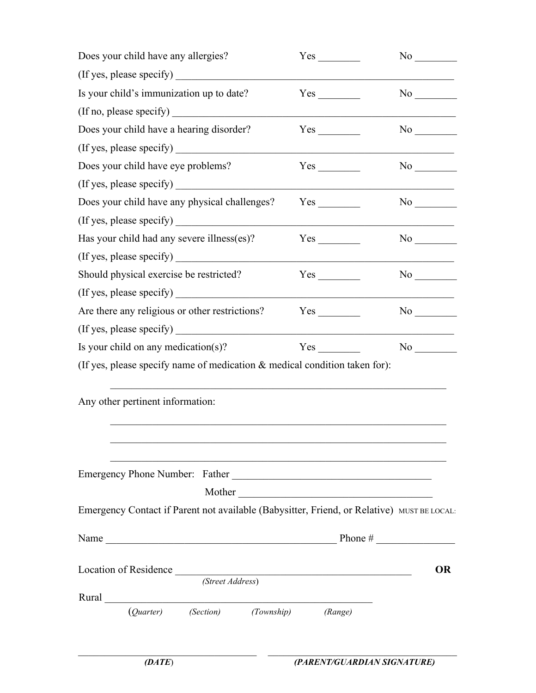| Does your child have any allergies?                                                                                                                                                                                                                                                                                                                                                                           | Yes                                                                                                                 | No                                                                                                             |
|---------------------------------------------------------------------------------------------------------------------------------------------------------------------------------------------------------------------------------------------------------------------------------------------------------------------------------------------------------------------------------------------------------------|---------------------------------------------------------------------------------------------------------------------|----------------------------------------------------------------------------------------------------------------|
| (If yes, please specify)                                                                                                                                                                                                                                                                                                                                                                                      |                                                                                                                     |                                                                                                                |
| Is your child's immunization up to date?                                                                                                                                                                                                                                                                                                                                                                      |                                                                                                                     | No                                                                                                             |
| (If no, please specify)                                                                                                                                                                                                                                                                                                                                                                                       |                                                                                                                     |                                                                                                                |
| Does your child have a hearing disorder?                                                                                                                                                                                                                                                                                                                                                                      |                                                                                                                     | No new years of the New York of the New York of the New York of the New York of the New York of the New York o |
| (If yes, please specify)                                                                                                                                                                                                                                                                                                                                                                                      |                                                                                                                     |                                                                                                                |
| Does your child have eye problems?                                                                                                                                                                                                                                                                                                                                                                            |                                                                                                                     | No                                                                                                             |
| (If yes, please specify)                                                                                                                                                                                                                                                                                                                                                                                      |                                                                                                                     |                                                                                                                |
| Does your child have any physical challenges?                                                                                                                                                                                                                                                                                                                                                                 |                                                                                                                     | No new years of the New York of the New York of the New York of the New York of the New York of the New York o |
| (If yes, please specify)                                                                                                                                                                                                                                                                                                                                                                                      |                                                                                                                     |                                                                                                                |
| Has your child had any severe illness(es)?                                                                                                                                                                                                                                                                                                                                                                    | Yes                                                                                                                 |                                                                                                                |
| (If yes, please specify)                                                                                                                                                                                                                                                                                                                                                                                      |                                                                                                                     |                                                                                                                |
| Should physical exercise be restricted?                                                                                                                                                                                                                                                                                                                                                                       | Yes                                                                                                                 | No                                                                                                             |
| (If yes, please specify)                                                                                                                                                                                                                                                                                                                                                                                      |                                                                                                                     |                                                                                                                |
| Are there any religious or other restrictions?                                                                                                                                                                                                                                                                                                                                                                | Yes                                                                                                                 | No                                                                                                             |
|                                                                                                                                                                                                                                                                                                                                                                                                               |                                                                                                                     |                                                                                                                |
| Is your child on any medication(s)?                                                                                                                                                                                                                                                                                                                                                                           | Yes                                                                                                                 | No                                                                                                             |
| (If yes, please specify name of medication & medical condition taken for):                                                                                                                                                                                                                                                                                                                                    |                                                                                                                     |                                                                                                                |
|                                                                                                                                                                                                                                                                                                                                                                                                               |                                                                                                                     |                                                                                                                |
| Any other pertinent information:                                                                                                                                                                                                                                                                                                                                                                              |                                                                                                                     |                                                                                                                |
|                                                                                                                                                                                                                                                                                                                                                                                                               |                                                                                                                     |                                                                                                                |
|                                                                                                                                                                                                                                                                                                                                                                                                               |                                                                                                                     |                                                                                                                |
|                                                                                                                                                                                                                                                                                                                                                                                                               |                                                                                                                     |                                                                                                                |
| Emergency Phone Number: Father                                                                                                                                                                                                                                                                                                                                                                                | <u> 1980 - Andrea Albert III, politik eta politik eta politik eta politik eta politik eta politik eta politik e</u> |                                                                                                                |
|                                                                                                                                                                                                                                                                                                                                                                                                               | Mother                                                                                                              |                                                                                                                |
| Emergency Contact if Parent not available (Babysitter, Friend, or Relative) MUST BE LOCAL:                                                                                                                                                                                                                                                                                                                    |                                                                                                                     |                                                                                                                |
|                                                                                                                                                                                                                                                                                                                                                                                                               |                                                                                                                     |                                                                                                                |
| Name $\frac{1}{\sqrt{1-\frac{1}{2}}\sqrt{1-\frac{1}{2}}\sqrt{1-\frac{1}{2}}\sqrt{1-\frac{1}{2}}\sqrt{1-\frac{1}{2}}\sqrt{1-\frac{1}{2}}\sqrt{1-\frac{1}{2}}\sqrt{1-\frac{1}{2}}\sqrt{1-\frac{1}{2}}\sqrt{1-\frac{1}{2}}\sqrt{1-\frac{1}{2}}\sqrt{1-\frac{1}{2}}\sqrt{1-\frac{1}{2}}\sqrt{1-\frac{1}{2}}\sqrt{1-\frac{1}{2}}\sqrt{1-\frac{1}{2}}\sqrt{1-\frac{1}{2}}\sqrt{1-\frac{1}{2}}\sqrt{1-\frac{1}{2}}\$ |                                                                                                                     |                                                                                                                |
| Location of Residence                                                                                                                                                                                                                                                                                                                                                                                         |                                                                                                                     | <b>OR</b>                                                                                                      |
| (Street Address)                                                                                                                                                                                                                                                                                                                                                                                              |                                                                                                                     |                                                                                                                |
| Rural Communication and Communication and Communication and Communication and Communication and Communication<br>(Quarter) (Section) (Township)                                                                                                                                                                                                                                                               |                                                                                                                     |                                                                                                                |
|                                                                                                                                                                                                                                                                                                                                                                                                               | (Range)                                                                                                             |                                                                                                                |

 $\_$  , and the state of the state of the state of the state of the state of the state of the state of the state of the state of the state of the state of the state of the state of the state of the state of the state of the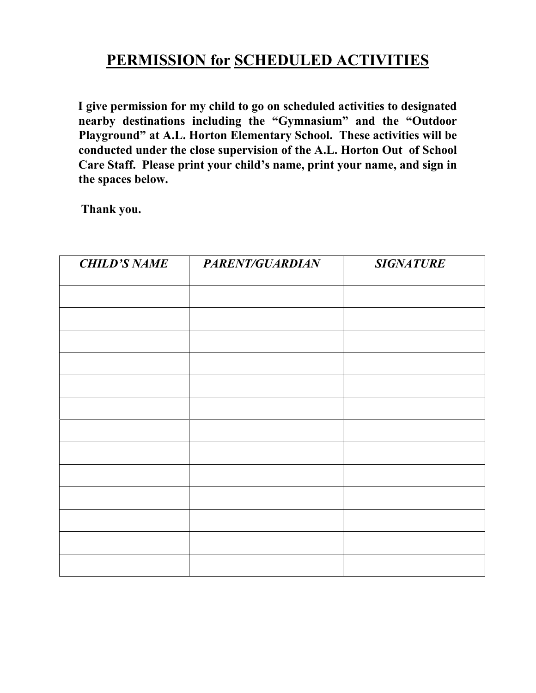## **PERMISSION for SCHEDULED ACTIVITIES**

**I give permission for my child to go on scheduled activities to designated nearby destinations including the "Gymnasium" and the "Outdoor Playground" at A.L. Horton Elementary School. These activities will be conducted under the close supervision of the A.L. Horton Out of School Care Staff. Please print your child's name, print your name, and sign in the spaces below.** 

**Thank you.**

| <b>CHILD'S NAME</b> | PARENT/GUARDIAN | <b>SIGNATURE</b> |
|---------------------|-----------------|------------------|
|                     |                 |                  |
|                     |                 |                  |
|                     |                 |                  |
|                     |                 |                  |
|                     |                 |                  |
|                     |                 |                  |
|                     |                 |                  |
|                     |                 |                  |
|                     |                 |                  |
|                     |                 |                  |
|                     |                 |                  |
|                     |                 |                  |
|                     |                 |                  |